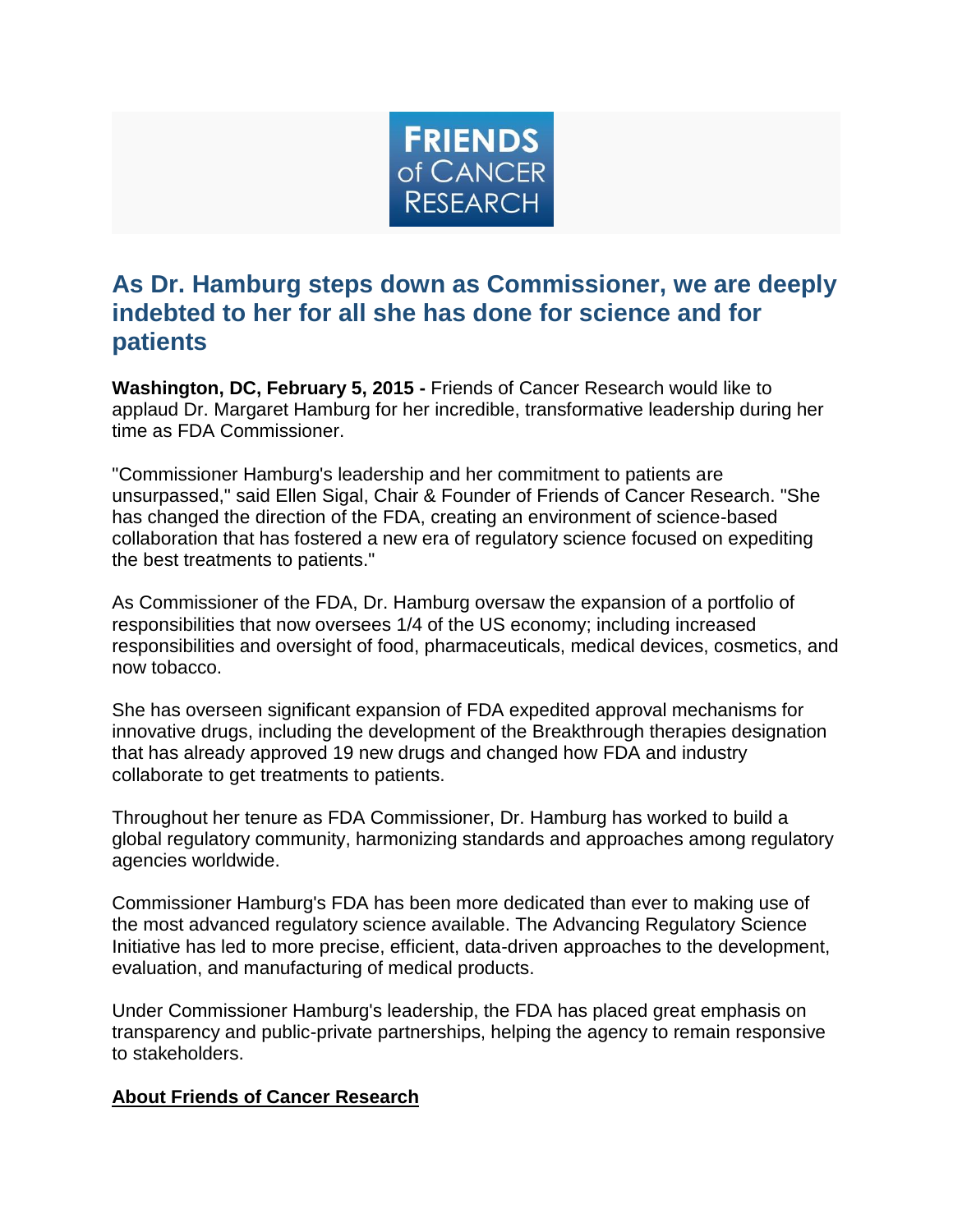

## **As Dr. Hamburg steps down as Commissioner, we are deeply indebted to her for all she has done for science and for patients**

**Washington, DC, February 5, 2015 -** Friends of Cancer Research would like to applaud Dr. Margaret Hamburg for her incredible, transformative leadership during her time as FDA Commissioner.

"Commissioner Hamburg's leadership and her commitment to patients are unsurpassed," said Ellen Sigal, Chair & Founder of Friends of Cancer Research. "She has changed the direction of the FDA, creating an environment of science-based collaboration that has fostered a new era of regulatory science focused on expediting the best treatments to patients."

As Commissioner of the FDA, Dr. Hamburg oversaw the expansion of a portfolio of responsibilities that now oversees 1/4 of the US economy; including increased responsibilities and oversight of food, pharmaceuticals, medical devices, cosmetics, and now tobacco.

She has overseen significant expansion of FDA expedited approval mechanisms for innovative drugs, including the development of the Breakthrough therapies designation that has already approved 19 new drugs and changed how FDA and industry collaborate to get treatments to patients.

Throughout her tenure as FDA Commissioner, Dr. Hamburg has worked to build a global regulatory community, harmonizing standards and approaches among regulatory agencies worldwide.

Commissioner Hamburg's FDA has been more dedicated than ever to making use of the most advanced regulatory science available. The Advancing Regulatory Science Initiative has led to more precise, efficient, data-driven approaches to the development, evaluation, and manufacturing of medical products.

Under Commissioner Hamburg's leadership, the FDA has placed great emphasis on transparency and public-private partnerships, helping the agency to remain responsive to stakeholders.

## **About Friends of Cancer Research**